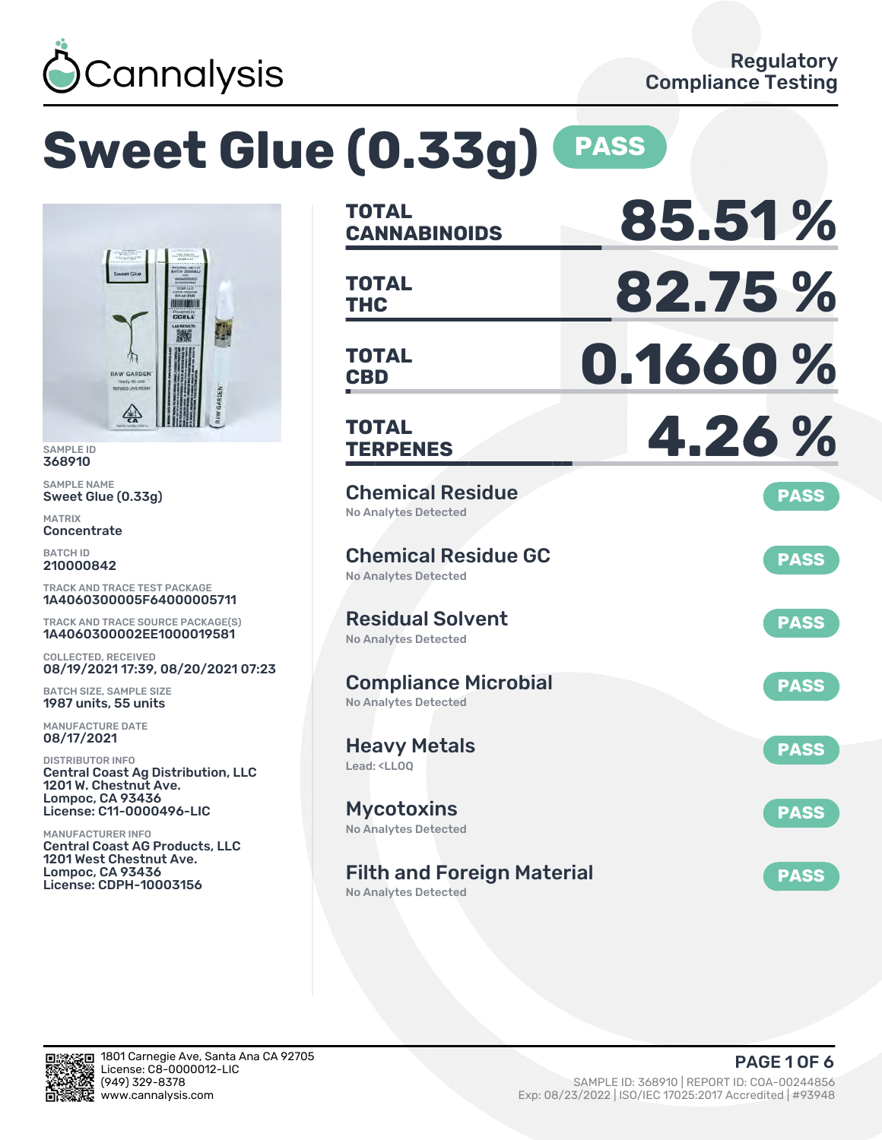

# **Sweet Glue (0.33g) PASS**



SAMPLE ID 368910

SAMPLE NAME Sweet Glue (0.33g)

MATRIX **Concentrate** 

BATCH ID 210000842

TRACK AND TRACE TEST PACKAGE 1A4060300005F64000005711

TRACK AND TRACE SOURCE PACKAGE(S) 1A4060300002EE1000019581

COLLECTED, RECEIVED 08/19/2021 17:39, 08/20/2021 07:23

BATCH SIZE, SAMPLE SIZE 1987 units, 55 units

MANUFACTURE DATE 08/17/2021

DISTRIBUTOR INFO Central Coast Ag Distribution, LLC 1201 W. Chestnut Ave. Lompoc, CA 93436 License: C11-0000496-LIC

MANUFACTURER INFO Central Coast AG Products, LLC 1201 West Chestnut Ave. Lompoc, CA 93436 License: CDPH-10003156

| <b>TOTAL</b><br><b>CANNABINOIDS</b>                                    | 85.51%      |
|------------------------------------------------------------------------|-------------|
| <b>TOTAL</b><br>THC                                                    | 82.75%      |
| <b>TOTAL</b><br><b>CBD</b>                                             | 0.1660%     |
| <b>TOTAL</b><br><b>TERPENES</b>                                        | 4.26%       |
| <b>Chemical Residue</b><br><b>No Analytes Detected</b>                 | <b>PASS</b> |
| <b>Chemical Residue GC</b><br>No Analytes Detected                     | <b>PASS</b> |
| <b>Residual Solvent</b><br><b>No Analytes Detected</b>                 | <b>PASS</b> |
| <b>Compliance Microbial</b><br>No Analytes Detected                    | <b>PASS</b> |
| <b>Heavy Metals</b><br>Lead: <lloo< td=""><td><b>PASS</b></td></lloo<> | <b>PASS</b> |
| <b>Mycotoxins</b><br>No Analytes Detected                              | <b>PASS</b> |
| <b>Filth and Foreign Material</b><br>No Analytes Detected              | <b>PASS</b> |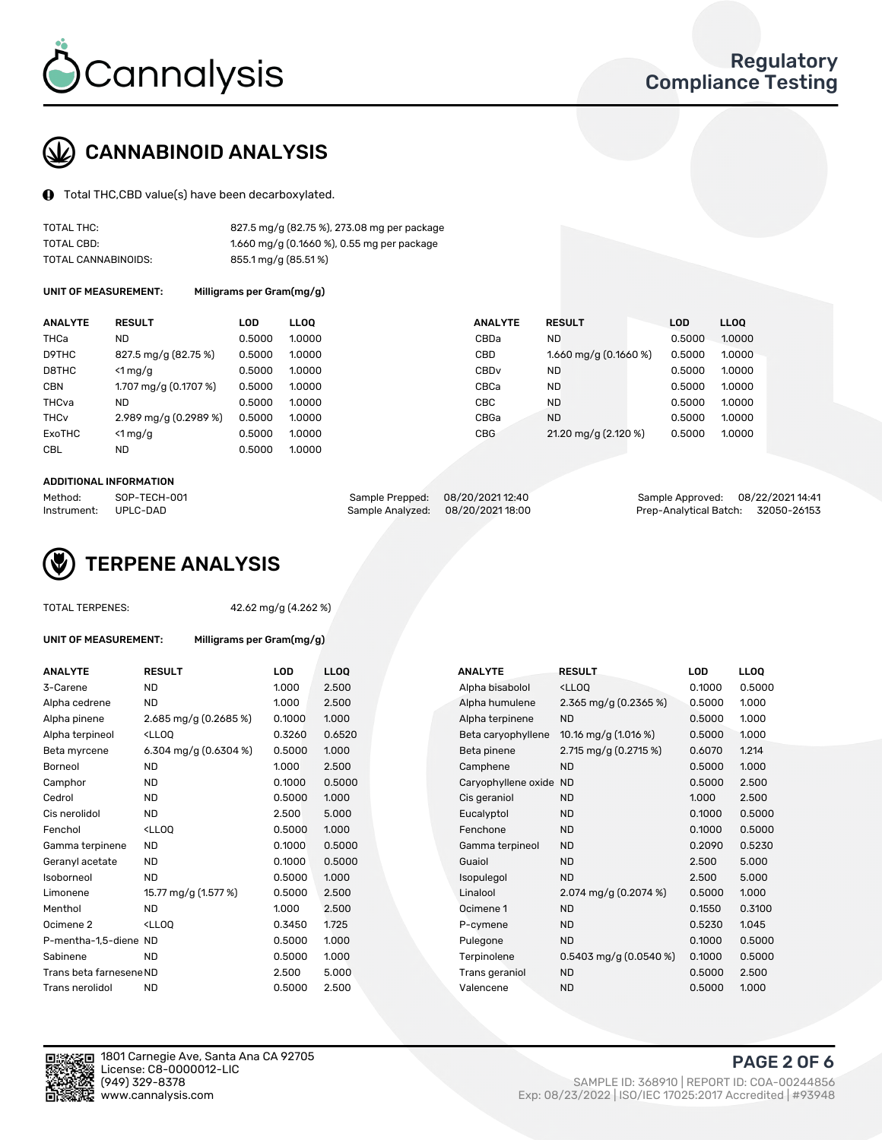

# CANNABINOID ANALYSIS

Total THC,CBD value(s) have been decarboxylated.

| TOTAL THC:          | 827.5 mg/g (82.75 %), 273.08 mg per package |
|---------------------|---------------------------------------------|
| TOTAL CBD:          | 1.660 mg/g (0.1660 %), 0.55 mg per package  |
| TOTAL CANNABINOIDS: | 855.1 mg/g (85.51%)                         |

UNIT OF MEASUREMENT: Milligrams per Gram(mg/g)

| <b>ANALYTE</b>         | <b>RESULT</b>         | <b>LOD</b> | <b>LLOO</b> | <b>ANALYTE</b>   | <b>RESULT</b>           | <b>LOD</b> | <b>LLOQ</b> |
|------------------------|-----------------------|------------|-------------|------------------|-------------------------|------------|-------------|
| THCa                   | ND                    | 0.5000     | 1.0000      | CBDa             | <b>ND</b>               | 0.5000     | 1.0000      |
| D9THC                  | 827.5 mg/g (82.75 %)  | 0.5000     | 1.0000      | CBD              | 1.660 mg/g $(0.1660\%)$ | 0.5000     | 1.0000      |
| D8THC                  | $<$ 1 mg/g            | 0.5000     | 1.0000      | CBD <sub>v</sub> | <b>ND</b>               | 0.5000     | 1.0000      |
| <b>CBN</b>             | 1.707 mg/g (0.1707 %) | 0.5000     | 1.0000      | CBCa             | <b>ND</b>               | 0.5000     | 1.0000      |
| THCva                  | ND                    | 0.5000     | 1.0000      | CBC              | <b>ND</b>               | 0.5000     | 1.0000      |
| <b>THC<sub>v</sub></b> | 2.989 mg/g (0.2989 %) | 0.5000     | 1.0000      | CBGa             | <b>ND</b>               | 0.5000     | 1.0000      |
| ExoTHC                 | $<$ 1 mg/g            | 0.5000     | 1.0000      | <b>CBG</b>       | 21.20 mg/g (2.120 %)    | 0.5000     | 1.0000      |
| <b>CBL</b>             | <b>ND</b>             | 0.5000     | 1.0000      |                  |                         |            |             |

#### ADDITIONAL INFORMATION

| Method:     | SOP-TECH-001 | Sample Prepped: 08/20/2021 12:40 |                                  | Sample Approved: 08/22/202114:41   |  |
|-------------|--------------|----------------------------------|----------------------------------|------------------------------------|--|
| Instrument: | UPLC-DAD     |                                  | Sample Analyzed: 08/20/202118:00 | Prep-Analytical Batch: 32050-26153 |  |



TOTAL TERPENES: 42.62 mg/g (4.262 %)

| UNIT OF MEASUREMENT: | Milligrams per Gram(mg/g) |
|----------------------|---------------------------|
|----------------------|---------------------------|

| <b>ANALYTE</b>          | <b>RESULT</b>                                                                                                                                         | <b>LOD</b> | <b>LLOQ</b> | <b>ANALYTE</b>         | <b>RESULT</b>                                       | LOD    | <b>LLOQ</b> |
|-------------------------|-------------------------------------------------------------------------------------------------------------------------------------------------------|------------|-------------|------------------------|-----------------------------------------------------|--------|-------------|
| 3-Carene                | <b>ND</b>                                                                                                                                             | 1.000      | 2.500       | Alpha bisabolol        | <lloq< td=""><td>0.1000</td><td>0.5000</td></lloq<> | 0.1000 | 0.5000      |
| Alpha cedrene           | ND.                                                                                                                                                   | 1.000      | 2.500       | Alpha humulene         | 2.365 mg/g $(0.2365\%)$                             | 0.5000 | 1.000       |
| Alpha pinene            | 2.685 mg/g (0.2685 %)                                                                                                                                 | 0.1000     | 1.000       | Alpha terpinene        | <b>ND</b>                                           | 0.5000 | 1.000       |
| Alpha terpineol         | <lloq< td=""><td>0.3260</td><td>0.6520</td><td>Beta caryophyllene</td><td>10.16 mg/g <math>(1.016\%)</math></td><td>0.5000</td><td>1.000</td></lloq<> | 0.3260     | 0.6520      | Beta caryophyllene     | 10.16 mg/g $(1.016\%)$                              | 0.5000 | 1.000       |
| Beta myrcene            | 6.304 mg/g $(0.6304\%)$                                                                                                                               | 0.5000     | 1.000       | Beta pinene            | 2.715 mg/g (0.2715 %)                               | 0.6070 | 1.214       |
| Borneol                 | <b>ND</b>                                                                                                                                             | 1.000      | 2.500       | Camphene               | <b>ND</b>                                           | 0.5000 | 1.000       |
| Camphor                 | <b>ND</b>                                                                                                                                             | 0.1000     | 0.5000      | Caryophyllene oxide ND |                                                     | 0.5000 | 2.500       |
| Cedrol                  | <b>ND</b>                                                                                                                                             | 0.5000     | 1.000       | Cis geraniol           | <b>ND</b>                                           | 1.000  | 2.500       |
| Cis nerolidol           | ND.                                                                                                                                                   | 2.500      | 5.000       | Eucalyptol             | <b>ND</b>                                           | 0.1000 | 0.5000      |
| Fenchol                 | <lloq< td=""><td>0.5000</td><td>1.000</td><td>Fenchone</td><td><b>ND</b></td><td>0.1000</td><td>0.5000</td></lloq<>                                   | 0.5000     | 1.000       | Fenchone               | <b>ND</b>                                           | 0.1000 | 0.5000      |
| Gamma terpinene         | ND.                                                                                                                                                   | 0.1000     | 0.5000      | Gamma terpineol        | <b>ND</b>                                           | 0.2090 | 0.5230      |
| Geranyl acetate         | <b>ND</b>                                                                                                                                             | 0.1000     | 0.5000      | Guaiol                 | <b>ND</b>                                           | 2.500  | 5.000       |
| Isoborneol              | <b>ND</b>                                                                                                                                             | 0.5000     | 1.000       | Isopulegol             | <b>ND</b>                                           | 2.500  | 5.000       |
| Limonene                | 15.77 mg/g (1.577 %)                                                                                                                                  | 0.5000     | 2.500       | Linalool               | 2.074 mg/g $(0.2074\%)$                             | 0.5000 | 1.000       |
| Menthol                 | <b>ND</b>                                                                                                                                             | 1.000      | 2.500       | Ocimene 1              | <b>ND</b>                                           | 0.1550 | 0.3100      |
| Ocimene 2               | <lloq< td=""><td>0.3450</td><td>1.725</td><td>P-cymene</td><td><b>ND</b></td><td>0.5230</td><td>1.045</td></lloq<>                                    | 0.3450     | 1.725       | P-cymene               | <b>ND</b>                                           | 0.5230 | 1.045       |
| P-mentha-1.5-diene ND   |                                                                                                                                                       | 0.5000     | 1.000       | Pulegone               | <b>ND</b>                                           | 0.1000 | 0.5000      |
| Sabinene                | <b>ND</b>                                                                                                                                             | 0.5000     | 1.000       | Terpinolene            | $0.5403$ mg/g $(0.0540\%)$                          | 0.1000 | 0.5000      |
| Trans beta farnesene ND |                                                                                                                                                       | 2.500      | 5.000       | Trans geraniol         | <b>ND</b>                                           | 0.5000 | 2.500       |
| Trans nerolidol         | <b>ND</b>                                                                                                                                             | 0.5000     | 2.500       | Valencene              | <b>ND</b>                                           | 0.5000 | 1.000       |
|                         |                                                                                                                                                       |            |             |                        |                                                     |        |             |

| 3-Carene                | <b>ND</b>                                                                                                                                             | 1.000  | 2.500  | Alpha bisabolol        | <ll0q< td=""><td>0.1000</td><td>0.5000</td></ll0q<> | 0.1000 | 0.5000 |
|-------------------------|-------------------------------------------------------------------------------------------------------------------------------------------------------|--------|--------|------------------------|-----------------------------------------------------|--------|--------|
| Alpha cedrene           | <b>ND</b>                                                                                                                                             | 1.000  | 2.500  | Alpha humulene         | 2.365 mg/g $(0.2365\%)$                             | 0.5000 | 1.000  |
| Alpha pinene            | 2.685 mg/g (0.2685 %)                                                                                                                                 | 0.1000 | 1.000  | Alpha terpinene        | <b>ND</b>                                           | 0.5000 | 1.000  |
| Alpha terpineol         | <lloq< td=""><td>0.3260</td><td>0.6520</td><td>Beta caryophyllene</td><td>10.16 mg/g <math>(1.016\%)</math></td><td>0.5000</td><td>1.000</td></lloq<> | 0.3260 | 0.6520 | Beta caryophyllene     | 10.16 mg/g $(1.016\%)$                              | 0.5000 | 1.000  |
| Beta myrcene            | 6.304 mg/g $(0.6304\%)$                                                                                                                               | 0.5000 | 1.000  | Beta pinene            | 2.715 mg/g (0.2715 %)                               | 0.6070 | 1.214  |
| Borneol                 | ND                                                                                                                                                    | 1.000  | 2.500  | Camphene               | <b>ND</b>                                           | 0.5000 | 1.000  |
| Camphor                 | <b>ND</b>                                                                                                                                             | 0.1000 | 0.5000 | Caryophyllene oxide ND |                                                     | 0.5000 | 2.500  |
| Cedrol                  | <b>ND</b>                                                                                                                                             | 0.5000 | 1.000  | Cis geraniol           | <b>ND</b>                                           | 1.000  | 2.500  |
| Cis nerolidol           | <b>ND</b>                                                                                                                                             | 2.500  | 5.000  | Eucalyptol             | <b>ND</b>                                           | 0.1000 | 0.5000 |
| Fenchol                 | <lloq< td=""><td>0.5000</td><td>1.000</td><td>Fenchone</td><td><b>ND</b></td><td>0.1000</td><td>0.5000</td></lloq<>                                   | 0.5000 | 1.000  | Fenchone               | <b>ND</b>                                           | 0.1000 | 0.5000 |
| Gamma terpinene         | ND.                                                                                                                                                   | 0.1000 | 0.5000 | Gamma terpineol        | <b>ND</b>                                           | 0.2090 | 0.5230 |
| Geranyl acetate         | <b>ND</b>                                                                                                                                             | 0.1000 | 0.5000 | Guaiol                 | <b>ND</b>                                           | 2.500  | 5.000  |
| Isoborneol              | <b>ND</b>                                                                                                                                             | 0.5000 | 1.000  | Isopulegol             | <b>ND</b>                                           | 2.500  | 5.000  |
| Limonene                | 15.77 mg/g (1.577 %)                                                                                                                                  | 0.5000 | 2.500  | Linalool               | 2.074 mg/g $(0.2074\%)$                             | 0.5000 | 1.000  |
| Menthol                 | <b>ND</b>                                                                                                                                             | 1.000  | 2.500  | Ocimene 1              | <b>ND</b>                                           | 0.1550 | 0.3100 |
| Ocimene 2               | <lloq< td=""><td>0.3450</td><td>1.725</td><td>P-cymene</td><td><b>ND</b></td><td>0.5230</td><td>1.045</td></lloq<>                                    | 0.3450 | 1.725  | P-cymene               | <b>ND</b>                                           | 0.5230 | 1.045  |
| P-mentha-1,5-diene ND   |                                                                                                                                                       | 0.5000 | 1.000  | Pulegone               | <b>ND</b>                                           | 0.1000 | 0.5000 |
| Sabinene                | <b>ND</b>                                                                                                                                             | 0.5000 | 1.000  | Terpinolene            | $0.5403$ mg/g $(0.0540\%)$                          | 0.1000 | 0.5000 |
| Trans beta farnesene ND |                                                                                                                                                       | 2.500  | 5.000  | Trans geraniol         | <b>ND</b>                                           | 0.5000 | 2.500  |
| Trans nerolidol         | ND.                                                                                                                                                   | 0.5000 | 2.500  | Valencene              | ND.                                                 | 0.5000 | 1.000  |



PAGE 2 OF 6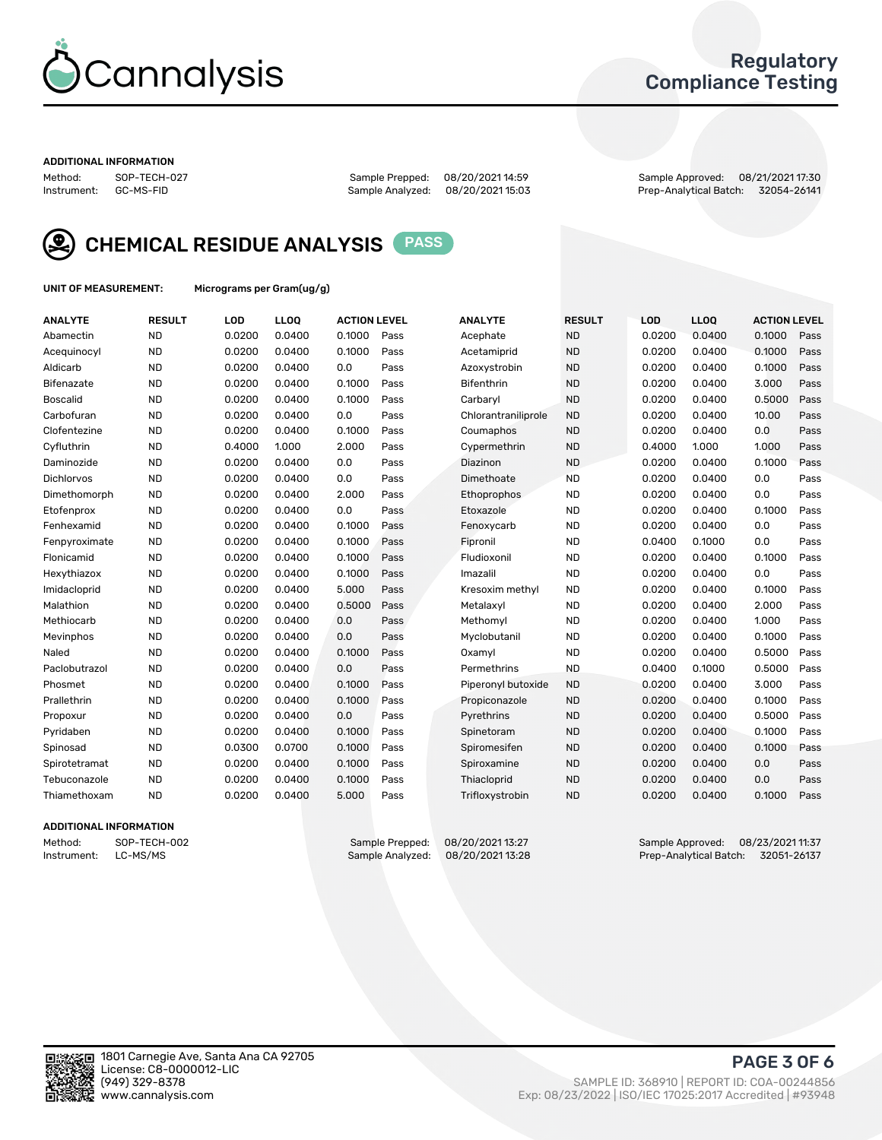

### Regulatory Compliance Testing

#### ADDITIONAL INFORMATION

Sample Analyzed: 08/20/2021 15:03

Method: SOP-TECH-027 Sample Prepped: 08/20/2021 14:59 Sample Approved: 08/21/2021 17:30



CHEMICAL RESIDUE ANALYSIS PASS

UNIT OF MEASUREMENT: Micrograms per Gram(ug/g)

| <b>ANALYTE</b>    | <b>RESULT</b> | LOD    | <b>LLOQ</b> | <b>ACTION LEVEL</b> |      | <b>ANALYTE</b>      | <b>RESULT</b> | <b>LOD</b> | <b>LLOQ</b> | <b>ACTION LEVEL</b> |      |
|-------------------|---------------|--------|-------------|---------------------|------|---------------------|---------------|------------|-------------|---------------------|------|
| Abamectin         | <b>ND</b>     | 0.0200 | 0.0400      | 0.1000              | Pass | Acephate            | <b>ND</b>     | 0.0200     | 0.0400      | 0.1000              | Pass |
| Acequinocyl       | <b>ND</b>     | 0.0200 | 0.0400      | 0.1000              | Pass | Acetamiprid         | <b>ND</b>     | 0.0200     | 0.0400      | 0.1000              | Pass |
| Aldicarb          | <b>ND</b>     | 0.0200 | 0.0400      | 0.0                 | Pass | Azoxystrobin        | <b>ND</b>     | 0.0200     | 0.0400      | 0.1000              | Pass |
| Bifenazate        | <b>ND</b>     | 0.0200 | 0.0400      | 0.1000              | Pass | <b>Bifenthrin</b>   | <b>ND</b>     | 0.0200     | 0.0400      | 3.000               | Pass |
| <b>Boscalid</b>   | <b>ND</b>     | 0.0200 | 0.0400      | 0.1000              | Pass | Carbarvl            | <b>ND</b>     | 0.0200     | 0.0400      | 0.5000              | Pass |
| Carbofuran        | <b>ND</b>     | 0.0200 | 0.0400      | 0.0                 | Pass | Chlorantraniliprole | <b>ND</b>     | 0.0200     | 0.0400      | 10.00               | Pass |
| Clofentezine      | <b>ND</b>     | 0.0200 | 0.0400      | 0.1000              | Pass | Coumaphos           | <b>ND</b>     | 0.0200     | 0.0400      | 0.0                 | Pass |
| Cyfluthrin        | <b>ND</b>     | 0.4000 | 1.000       | 2.000               | Pass | Cypermethrin        | <b>ND</b>     | 0.4000     | 1.000       | 1.000               | Pass |
| Daminozide        | <b>ND</b>     | 0.0200 | 0.0400      | 0.0                 | Pass | Diazinon            | <b>ND</b>     | 0.0200     | 0.0400      | 0.1000              | Pass |
| <b>Dichlorvos</b> | <b>ND</b>     | 0.0200 | 0.0400      | 0.0                 | Pass | Dimethoate          | <b>ND</b>     | 0.0200     | 0.0400      | 0.0                 | Pass |
| Dimethomorph      | <b>ND</b>     | 0.0200 | 0.0400      | 2.000               | Pass | <b>Ethoprophos</b>  | <b>ND</b>     | 0.0200     | 0.0400      | 0.0                 | Pass |
| Etofenprox        | <b>ND</b>     | 0.0200 | 0.0400      | 0.0                 | Pass | Etoxazole           | <b>ND</b>     | 0.0200     | 0.0400      | 0.1000              | Pass |
| Fenhexamid        | <b>ND</b>     | 0.0200 | 0.0400      | 0.1000              | Pass | Fenoxycarb          | <b>ND</b>     | 0.0200     | 0.0400      | 0.0                 | Pass |
| Fenpyroximate     | <b>ND</b>     | 0.0200 | 0.0400      | 0.1000              | Pass | Fipronil            | <b>ND</b>     | 0.0400     | 0.1000      | 0.0                 | Pass |
| Flonicamid        | <b>ND</b>     | 0.0200 | 0.0400      | 0.1000              | Pass | Fludioxonil         | <b>ND</b>     | 0.0200     | 0.0400      | 0.1000              | Pass |
| Hexythiazox       | <b>ND</b>     | 0.0200 | 0.0400      | 0.1000              | Pass | Imazalil            | <b>ND</b>     | 0.0200     | 0.0400      | 0.0                 | Pass |
| Imidacloprid      | <b>ND</b>     | 0.0200 | 0.0400      | 5.000               | Pass | Kresoxim methyl     | <b>ND</b>     | 0.0200     | 0.0400      | 0.1000              | Pass |
| Malathion         | <b>ND</b>     | 0.0200 | 0.0400      | 0.5000              | Pass | Metalaxyl           | <b>ND</b>     | 0.0200     | 0.0400      | 2.000               | Pass |
| Methiocarb        | <b>ND</b>     | 0.0200 | 0.0400      | 0.0                 | Pass | Methomyl            | <b>ND</b>     | 0.0200     | 0.0400      | 1.000               | Pass |
| Mevinphos         | <b>ND</b>     | 0.0200 | 0.0400      | 0.0                 | Pass | Myclobutanil        | <b>ND</b>     | 0.0200     | 0.0400      | 0.1000              | Pass |
| Naled             | <b>ND</b>     | 0.0200 | 0.0400      | 0.1000              | Pass | Oxamyl              | <b>ND</b>     | 0.0200     | 0.0400      | 0.5000              | Pass |
| Paclobutrazol     | <b>ND</b>     | 0.0200 | 0.0400      | 0.0                 | Pass | Permethrins         | <b>ND</b>     | 0.0400     | 0.1000      | 0.5000              | Pass |
| Phosmet           | <b>ND</b>     | 0.0200 | 0.0400      | 0.1000              | Pass | Piperonyl butoxide  | <b>ND</b>     | 0.0200     | 0.0400      | 3.000               | Pass |
| Prallethrin       | <b>ND</b>     | 0.0200 | 0.0400      | 0.1000              | Pass | Propiconazole       | <b>ND</b>     | 0.0200     | 0.0400      | 0.1000              | Pass |
| Propoxur          | <b>ND</b>     | 0.0200 | 0.0400      | 0.0                 | Pass | Pyrethrins          | <b>ND</b>     | 0.0200     | 0.0400      | 0.5000              | Pass |
| Pyridaben         | <b>ND</b>     | 0.0200 | 0.0400      | 0.1000              | Pass | Spinetoram          | <b>ND</b>     | 0.0200     | 0.0400      | 0.1000              | Pass |
| Spinosad          | <b>ND</b>     | 0.0300 | 0.0700      | 0.1000              | Pass | Spiromesifen        | <b>ND</b>     | 0.0200     | 0.0400      | 0.1000              | Pass |
| Spirotetramat     | <b>ND</b>     | 0.0200 | 0.0400      | 0.1000              | Pass | Spiroxamine         | <b>ND</b>     | 0.0200     | 0.0400      | 0.0                 | Pass |
| Tebuconazole      | <b>ND</b>     | 0.0200 | 0.0400      | 0.1000              | Pass | Thiacloprid         | <b>ND</b>     | 0.0200     | 0.0400      | 0.0                 | Pass |
| Thiamethoxam      | <b>ND</b>     | 0.0200 | 0.0400      | 5.000               | Pass | Trifloxystrobin     | <b>ND</b>     | 0.0200     | 0.0400      | 0.1000              | Pass |

### ADDITIONAL INFORMATION

Method: SOP-TECH-002 Sample Prepped: 08/20/202113:27<br>Instrument: LC-MS/MS Sample Analyzed: 08/20/202113:28 Prep-Analytical Batch: 32051-26137 Prep-Analytical Batch: 32051-26137

PAGE 3 OF 6

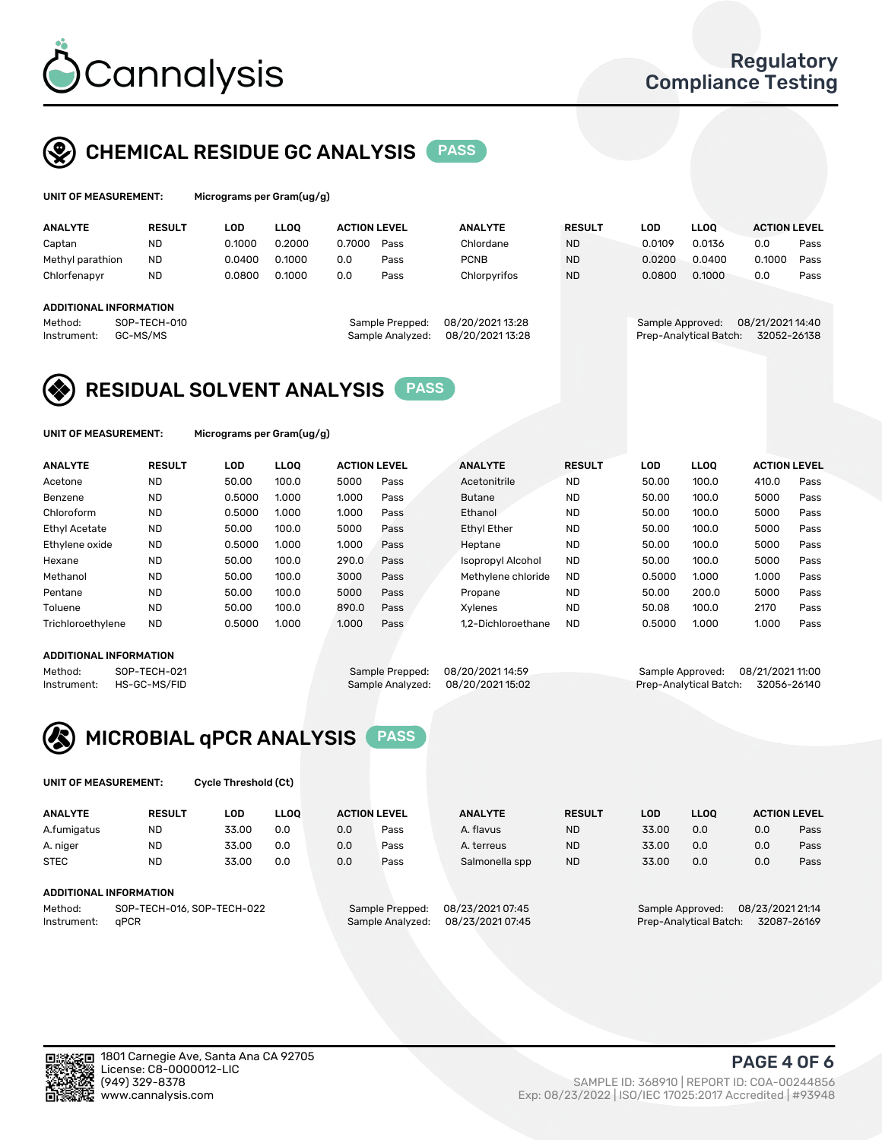

## CHEMICAL RESIDUE GC ANALYSIS PASS

| UNIT OF MEASUREMENT: | м |
|----------------------|---|
|                      |   |

icrograms per Gram(ug/g)

| <b>ANALYTE</b>                | <b>RESULT</b> | LOD    | <b>LLOO</b> | <b>ACTION LEVEL</b> |                  | <b>ANALYTE</b>   | <b>RESULT</b> | LOD              | <b>LLOO</b>            | <b>ACTION LEVEL</b> |      |
|-------------------------------|---------------|--------|-------------|---------------------|------------------|------------------|---------------|------------------|------------------------|---------------------|------|
| Captan                        | <b>ND</b>     | 0.1000 | 0.2000      | 0.7000              | Pass             | Chlordane        | <b>ND</b>     | 0.0109           | 0.0136                 | 0.0                 | Pass |
| Methyl parathion              | <b>ND</b>     | 0.0400 | 0.1000      | 0.0                 | Pass             | <b>PCNB</b>      | <b>ND</b>     | 0.0200           | 0.0400                 | 0.1000              | Pass |
| Chlorfenapyr                  | <b>ND</b>     | 0.0800 | 0.1000      | 0.0                 | Pass             | Chlorpyrifos     | <b>ND</b>     | 0.0800           | 0.1000                 | 0.0                 | Pass |
|                               |               |        |             |                     |                  |                  |               |                  |                        |                     |      |
| <b>ADDITIONAL INFORMATION</b> |               |        |             |                     |                  |                  |               |                  |                        |                     |      |
| Method:                       | SOP-TECH-010  |        |             |                     | Sample Prepped:  | 08/20/2021 13:28 |               | Sample Approved: |                        | 08/21/2021 14:40    |      |
| Instrument:                   | GC-MS/MS      |        |             |                     | Sample Analyzed: | 08/20/2021 13:28 |               |                  | Prep-Analytical Batch: | 32052-26138         |      |
|                               |               |        |             |                     |                  |                  |               |                  |                        |                     |      |

### RESIDUAL SOLVENT ANALYSIS PASS

UNIT OF MEASUREMENT: Micrograms per Gram(ug/g)

| <b>ANALYTE</b>       | <b>RESULT</b> | LOD    | <b>LLOO</b> | <b>ACTION LEVEL</b> |      | <b>ANALYTE</b>           | <b>RESULT</b> | LOD    | <b>LLOO</b> | <b>ACTION LEVEL</b> |      |
|----------------------|---------------|--------|-------------|---------------------|------|--------------------------|---------------|--------|-------------|---------------------|------|
| Acetone              | <b>ND</b>     | 50.00  | 100.0       | 5000                | Pass | Acetonitrile             | <b>ND</b>     | 50.00  | 100.0       | 410.0               | Pass |
| Benzene              | <b>ND</b>     | 0.5000 | 1.000       | 1.000               | Pass | <b>Butane</b>            | <b>ND</b>     | 50.00  | 100.0       | 5000                | Pass |
| Chloroform           | <b>ND</b>     | 0.5000 | 1.000       | 1.000               | Pass | Ethanol                  | <b>ND</b>     | 50.00  | 100.0       | 5000                | Pass |
| <b>Ethyl Acetate</b> | <b>ND</b>     | 50.00  | 100.0       | 5000                | Pass | <b>Ethyl Ether</b>       | <b>ND</b>     | 50.00  | 100.0       | 5000                | Pass |
| Ethylene oxide       | <b>ND</b>     | 0.5000 | 1.000       | 1.000               | Pass | Heptane                  | <b>ND</b>     | 50.00  | 100.0       | 5000                | Pass |
| Hexane               | <b>ND</b>     | 50.00  | 100.0       | 290.0               | Pass | <b>Isopropyl Alcohol</b> | <b>ND</b>     | 50.00  | 100.0       | 5000                | Pass |
| Methanol             | <b>ND</b>     | 50.00  | 100.0       | 3000                | Pass | Methylene chloride       | <b>ND</b>     | 0.5000 | 1.000       | 1.000               | Pass |
| Pentane              | <b>ND</b>     | 50.00  | 100.0       | 5000                | Pass | Propane                  | <b>ND</b>     | 50.00  | 200.0       | 5000                | Pass |
| Toluene              | <b>ND</b>     | 50.00  | 100.0       | 890.0               | Pass | Xvlenes                  | <b>ND</b>     | 50.08  | 100.0       | 2170                | Pass |
| Trichloroethylene    | <b>ND</b>     | 0.5000 | 1.000       | 1.000               | Pass | 1.2-Dichloroethane       | <b>ND</b>     | 0.5000 | 1.000       | 1.000               | Pass |

### ADDITIONAL INFORMATION

Method: SOP-TECH-021 Sample Prepped: 08/20/202114:59 Sample Approved: 08/21/2021 11:00<br>Instrument: HS-GC-MS/FID Sample Analyzed: 08/20/2021 15:02 Prep-Analytical Batch: 32056-26140 Prep-Analytical Batch: 32056-26140



UNIT OF MEASUREMENT: Cycle Threshold (Ct)

| <b>ANALYTE</b>                        | <b>RESULT</b> | LOD   | <b>LLOO</b> | <b>ACTION LEVEL</b>                 |                  | <b>ANALYTE</b>   | <b>RESULT</b>                        | LOD   | <b>LLOO</b>            |     | <b>ACTION LEVEL</b> |
|---------------------------------------|---------------|-------|-------------|-------------------------------------|------------------|------------------|--------------------------------------|-------|------------------------|-----|---------------------|
| A.fumigatus                           | <b>ND</b>     | 33.00 | 0.0         | 0.0                                 | Pass             | A. flavus        | <b>ND</b>                            | 33.00 | 0.0                    | 0.0 | Pass                |
| A. niger                              | <b>ND</b>     | 33.00 | 0.0         | 0.0                                 | Pass             | A. terreus       | <b>ND</b>                            | 33.00 | 0.0                    | 0.0 | Pass                |
| <b>STEC</b>                           | <b>ND</b>     | 33.00 | 0.0         | 0.0                                 | Pass             | Salmonella spp   | <b>ND</b>                            | 33.00 | 0.0                    | 0.0 | Pass                |
| ADDITIONAL INFORMATION                |               |       |             |                                     |                  |                  |                                      |       |                        |     |                     |
| SOP-TECH-016, SOP-TECH-022<br>Method: |               |       |             | 08/23/2021 07:45<br>Sample Prepped: |                  |                  | 08/23/2021 21:14<br>Sample Approved: |       |                        |     |                     |
| Instrument:                           | aPCR          |       |             |                                     | Sample Analyzed: | 08/23/2021 07:45 |                                      |       | Prep-Analytical Batch: |     | 32087-26169         |

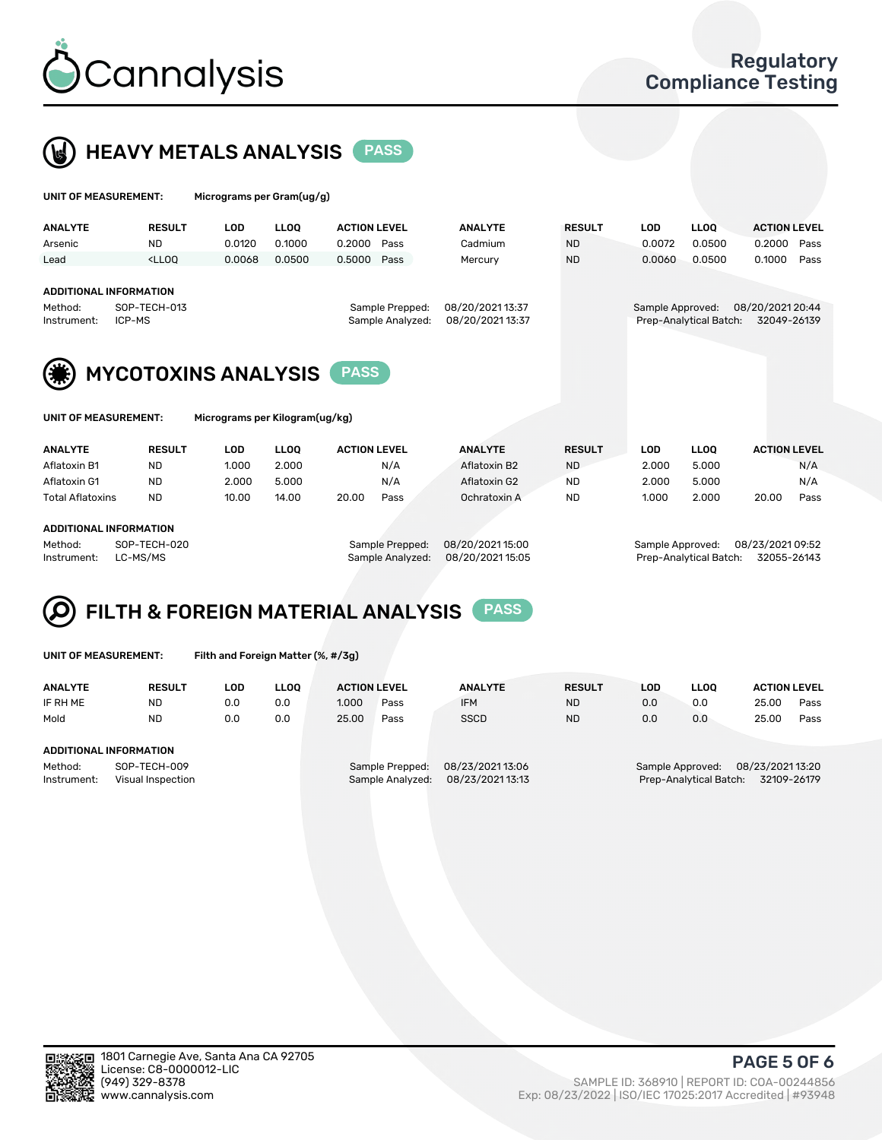

 $U$ UNIT OF MEASUREMENT: Micrograms per Gram(ug/g)



| <b>ANALYTE</b>                                                                                                                                                   | <b>RESULT</b>                                                                                                                                                               | <b>LOD</b>                     | <b>LLOO</b> | <b>ACTION LEVEL</b> |      | <b>ANALYTE</b> | <b>RESULT</b> | <b>LOD</b>       | LLOO <sup>1</sup>      | <b>ACTION LEVEL</b>             |      |
|------------------------------------------------------------------------------------------------------------------------------------------------------------------|-----------------------------------------------------------------------------------------------------------------------------------------------------------------------------|--------------------------------|-------------|---------------------|------|----------------|---------------|------------------|------------------------|---------------------------------|------|
| Arsenic                                                                                                                                                          | <b>ND</b>                                                                                                                                                                   | 0.0120                         | 0.1000      | 0.2000              | Pass | Cadmium        | <b>ND</b>     | 0.0072           | 0.0500                 | 0.2000                          | Pass |
| Lead                                                                                                                                                             | <lloo< td=""><td>0.0068</td><td>0.0500</td><td>0.5000</td><td>Pass</td><td>Mercury</td><td><b>ND</b></td><td>0.0060</td><td>0.0500</td><td>0.1000</td><td>Pass</td></lloo<> | 0.0068                         | 0.0500      | 0.5000              | Pass | Mercury        | <b>ND</b>     | 0.0060           | 0.0500                 | 0.1000                          | Pass |
| <b>ADDITIONAL INFORMATION</b><br>08/20/2021 13:37<br>SOP-TECH-013<br>Sample Prepped:<br>Method:<br>Sample Analyzed:<br>08/20/2021 13:37<br>ICP-MS<br>Instrument: |                                                                                                                                                                             |                                |             |                     |      |                |               | Sample Approved: | Prep-Analytical Batch: | 08/20/2021 20:44<br>32049-26139 |      |
| <b>MYCOTOXINS ANALYSIS</b><br><b>PASS</b>                                                                                                                        |                                                                                                                                                                             |                                |             |                     |      |                |               |                  |                        |                                 |      |
| UNIT OF MEASUREMENT:                                                                                                                                             |                                                                                                                                                                             | Micrograms per Kilogram(ug/kg) |             |                     |      |                |               |                  |                        |                                 |      |
| <b>ANALYTE</b>                                                                                                                                                   | <b>RESULT</b>                                                                                                                                                               | <b>LOD</b>                     | <b>LLOO</b> | <b>ACTION LEVEL</b> |      | <b>ANALYTE</b> | <b>RESULT</b> | <b>LOD</b>       | <b>LLOO</b>            | <b>ACTION LEVEL</b>             |      |

| Aflatoxin B1            | ND        | 1.000 | 2.000 |       | N/A  | Aflatoxin B2 | <b>ND</b> | 2.000 | 5.000 |       | N/A  |
|-------------------------|-----------|-------|-------|-------|------|--------------|-----------|-------|-------|-------|------|
| Aflatoxin G1            | <b>ND</b> | 2.000 | 5.000 |       | N/A  | Aflatoxin G2 | <b>ND</b> | 2.000 | 5.000 |       | N/A  |
| <b>Total Aflatoxins</b> | <b>ND</b> | 10.00 | 14.00 | 20.00 | Pass | Ochratoxin A | <b>ND</b> | 1.000 | 2.000 | 20.00 | Pass |
|                         |           |       |       |       |      |              |           |       |       |       |      |
| ADDITIONAL INFORMATION  |           |       |       |       |      |              |           |       |       |       |      |

Method: SOP-TECH-020 Sample Prepped: 08/20/2021 15:00 Sample Approved: 08/23/2021 09:52 Instrument: LC-MS/MS Sample Analyzed: 08/20/2021 15:05 Prep-Analytical Batch: 32055-26143

### FILTH & FOREIGN MATERIAL ANALYSIS PASS Q

UNIT OF MEASUREMENT: Filth and Foreign Matter (%, #/3g)

| <b>ANALYTE</b>                                              | <b>RESULT</b> | LOD. | LLOO | <b>ACTION LEVEL</b> |                                     | <b>ANALYTE</b>                     | <b>RESULT</b>                                                                 | LOD | <b>LLOO</b> | <b>ACTION LEVEL</b> |      |
|-------------------------------------------------------------|---------------|------|------|---------------------|-------------------------------------|------------------------------------|-------------------------------------------------------------------------------|-----|-------------|---------------------|------|
| IF RH ME                                                    | <b>ND</b>     | 0.0  | 0.0  | 1.000               | Pass                                | <b>IFM</b>                         | <b>ND</b>                                                                     | 0.0 | 0.0         | 25.00               | Pass |
| Mold                                                        | <b>ND</b>     | 0.0  | 0.0  | 25.00               | Pass                                | <b>SSCD</b>                        | <b>ND</b>                                                                     | 0.0 | 0.0         | 25.00               | Pass |
| ADDITIONAL INFORMATION                                      |               |      |      |                     |                                     |                                    |                                                                               |     |             |                     |      |
| Method:<br>SOP-TECH-009<br>Instrument:<br>Visual Inspection |               |      |      |                     | Sample Prepped:<br>Sample Analyzed: | 08/23/202113:06<br>08/23/202113:13 | 08/23/2021 13:20<br>Sample Approved:<br>Prep-Analytical Batch:<br>32109-26179 |     |             |                     |      |



PAGE 5 OF 6